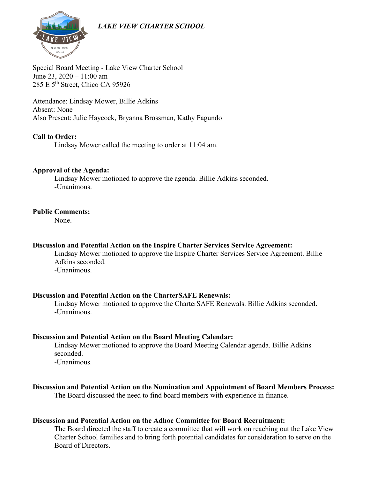# *LAKE VIEW CHARTER SCHOOL*



Special Board Meeting - Lake View Charter School June 23, 2020 – 11:00 am 285 E 5th Street, Chico CA 95926

Attendance: Lindsay Mower, Billie Adkins Absent: None Also Present: Julie Haycock, Bryanna Brossman, Kathy Fagundo

#### **Call to Order:**

Lindsay Mower called the meeting to order at 11:04 am.

#### **Approval of the Agenda:**

Lindsay Mower motioned to approve the agenda. Billie Adkins seconded. -Unanimous.

#### **Public Comments:**

None.

#### **Discussion and Potential Action on the Inspire Charter Services Service Agreement:**

Lindsay Mower motioned to approve the Inspire Charter Services Service Agreement. Billie Adkins seconded.

-Unanimous.

#### **Discussion and Potential Action on the CharterSAFE Renewals:**

Lindsay Mower motioned to approve the CharterSAFE Renewals. Billie Adkins seconded. -Unanimous.

## **Discussion and Potential Action on the Board Meeting Calendar:**

Lindsay Mower motioned to approve the Board Meeting Calendar agenda. Billie Adkins seconded.

-Unanimous.

# **Discussion and Potential Action on the Nomination and Appointment of Board Members Process:**

The Board discussed the need to find board members with experience in finance.

#### **Discussion and Potential Action on the Adhoc Committee for Board Recruitment:**

The Board directed the staff to create a committee that will work on reaching out the Lake View Charter School families and to bring forth potential candidates for consideration to serve on the Board of Directors.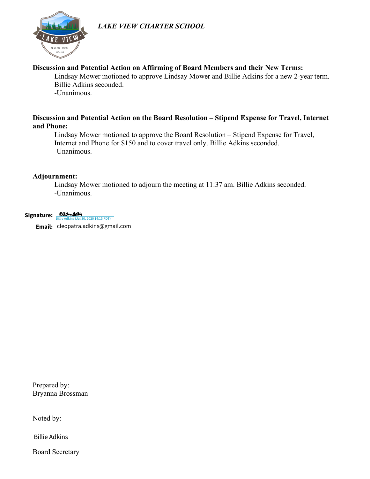# *LAKE VIEW CHARTER SCHOOL*



# **Discussion and Potential Action on Affirming of Board Members and their New Terms:**

Lindsay Mower motioned to approve Lindsay Mower and Billie Adkins for a new 2-year term. Billie Adkins seconded.

-Unanimous.

# **Discussion and Potential Action on the Board Resolution – Stipend Expense for Travel, Internet and Phone:**

Lindsay Mower motioned to approve the Board Resolution – Stipend Expense for Travel, Internet and Phone for \$150 and to cover travel only. Billie Adkins seconded. -Unanimous.

## **Adjournment:**

Lindsay Mower motioned to adjourn the meeting at 11:37 am. Billie Adkins seconded. -Unanimous.

Signature: **Billi-Addin** Email: cleopatra.adkins@gmail.com 80, 2020 14:15 PDT)

Prepared by: Bryanna Brossman **Email:** cleopatra.adkins@gmail.com<br>Prepared by:<br>Bryanna Brossman<br>Noted by:<br>Billie Adkins

Noted by:

Board Secretary